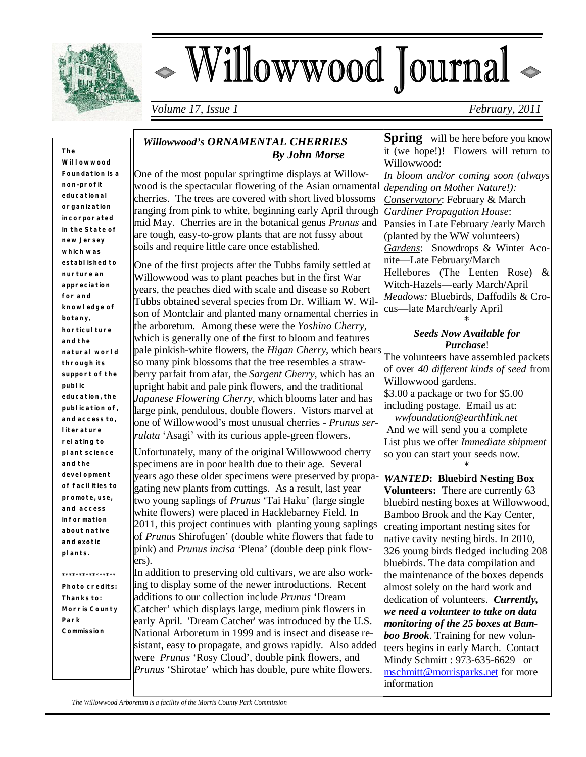

 $\overline{\mathsf{L}}$ 

# - Willowwood Journal

*Volume 17, Issue 1 February, 2011*

**The Willowwood Foundation is a non- profit educational organization incorporated in the State of new Jersey which was established to nurture an appreciation for and knowledge of botany, horticulture and the natural world through its support of the public education, the publication of, and access to, literature relating to plant science and the development of facilities to promote, use, and access information about native and exotic plants.**

*Photo credits:* **Thanks to: Morris County Park Commission** 

**\*\*\*\*\*\*\*\*\*\*\*\*\*\*\*\***

## *Willowwood's ORNAMENTAL CHERRIES By John Morse*

One of the most popular springtime displays at Willowwood is the spectacular flowering of the Asian ornamental cherries. The trees are covered with short lived blossoms ranging from pink to white, beginning early April through mid May. Cherries are in the botanical genus *Prunus* and are tough, easy-to-grow plants that are not fussy about soils and require little care once established.

One of the first projects after the Tubbs family settled at Willowwood was to plant peaches but in the first War years, the peaches died with scale and disease so Robert Tubbs obtained several species from Dr. William W. Wilson of Montclair and planted many ornamental cherries in the arboretum. Among these were the *Yoshino Cherry,*  which is generally one of the first to bloom and features pale pinkish-white flowers, the *Higan Cherry*, which bears so many pink blossoms that the tree resembles a strawberry parfait from afar, the *Sargent Cherry*, which has an upright habit and pale pink flowers, and the traditional *Japanese Flowering Cherry*, which blooms later and has large pink, pendulous, double flowers. Vistors marvel at one of Willowwood's most unusual cherries - *Prunus serrulata* 'Asagi' with its curious apple-green flowers.

Unfortunately, many of the original Willowwood cherry specimens are in poor health due to their age. Several years ago these older specimens were preserved by propagating new plants from cuttings. As a result, last year two young saplings of *Prunus* 'Tai Haku' (large single white flowers) were placed in Hacklebarney Field. In 2011, this project continues with planting young saplings of *Prunus* Shirofugen' (double white flowers that fade to pink) and *Prunus incisa* 'Plena' (double deep pink flowers).

In addition to preserving old cultivars, we are also working to display some of the newer introductions. Recent additions to our collection include *Prunus* 'Dream Catcher' which displays large, medium pink flowers in early April. 'Dream Catcher' was introduced by the U.S. National Arboretum in 1999 and is insect and disease resistant, easy to propagate, and grows rapidly. Also added were *Prunus* 'Rosy Cloud', double pink flowers, and *Prunus* 'Shirotae' which has double, pure white flowers.

**Spring** will be here before you know it (we hope!)! Flowers will return to Willowwood: *In bloom and/or coming soon (always depending on Mother Nature!): Conservatory*: February & March *Gardiner Propagation House*: Pansies in Late February /early March (planted by the WW volunteers) *Gardens*: Snowdrops & Winter Aconite—Late February/March Hellebores (The Lenten Rose) & Witch-Hazels—early March/April *Meadows:* Bluebirds, Daffodils & Crocus—late March/early April

#### \* *Seeds Now Available for Purchase*!

The volunteers have assembled packets of over *40 different kinds of seed* from Willowwood gardens. \$3.00 a package or two for \$5.00 including postage. Email us at: *wwfoundation@earthlink.net* And we will send you a complete List plus we offer *Immediate shipment*  so you can start your seeds now.

\* *WANTED***: Bluebird Nesting Box Volunteers:** There are currently 63 bluebird nesting boxes at Willowwood, Bamboo Brook and the Kay Center, creating important nesting sites for native cavity nesting birds. In 2010, 326 young birds fledged including 208 bluebirds. The data compilation and the maintenance of the boxes depends almost solely on the hard work and dedication of volunteers. *Currently, we need a volunteer to take on data monitoring of the 25 boxes at Bamboo Brook*. Training for new volunteers begins in early March. Contact Mindy Schmitt : 973-635-6629 or mschmitt@morrisparks.net for more information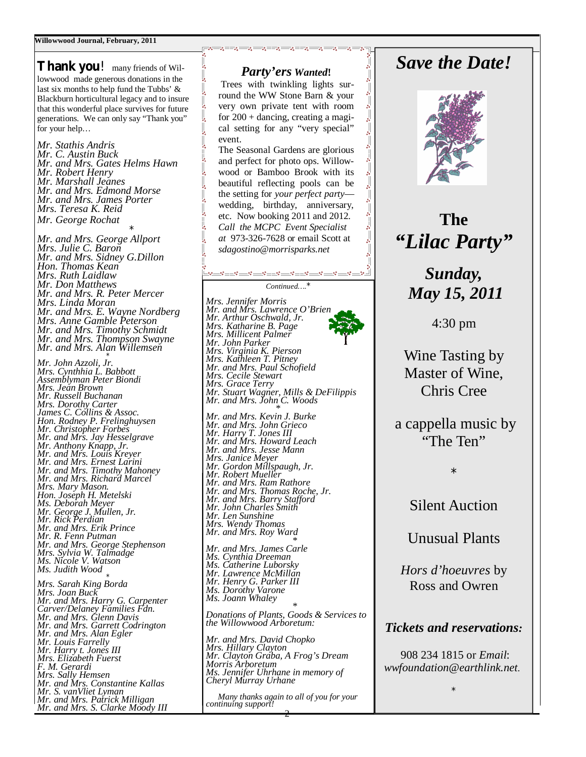**Thank you**! many friends of Willowwood made generous donations in the last six months to help fund the Tubbs' & Blackburn horticultural legacy and to insure that this wonderful place survives for future generations. We can only say "Thank you" for your help…

*Mr. Stathis Andris Mr. C. Austin Buck Mr. and Mrs. Gates Helms Hawn Mr. Robert Henry Mr. Marshall Jeanes Mr. and Mrs. Edmond Morse Mr. and Mrs. James Porter Mrs. Teresa K. Reid Mr. George Rochat \**

*Mr. and Mrs. George Allport Mrs. Julie C. Baron Mr. and Mrs. Sidney G.Dillon Hon. Thomas Kean Mrs. Ruth Laidlaw Mr. Don Matthews Mr. and Mrs. R. Peter Mercer Mrs. Linda Moran Mr. and Mrs. E. Wayne Nordberg Mrs. Anne Gamble Peterson Mr. and Mrs. Timothy Schmidt Mr. and Mrs. Thompson Swayne Mr. and Mrs. Alan Willemsen*

 *\* Mr. John Azzoli, Jr. Mrs. Cynthhia L. Babbott Assemblyman Peter Biondi Mrs. Jean Brown Mr. Russell Buchanan Mrs. Dorothy Carter James C. Collins & Assoc. Hon. Rodney P. Frelinghuysen Mr. Christopher Forbes Mr. and Mrs. Jay Hesselgrave Mr. Anthony Knapp, Jr. Mr. and Mrs. Louis Kreyer Mr. and Mrs. Ernest Larini Mr. and Mrs. Timothy Mahoney Mr. and Mrs. Richard Marcel Mrs. Mary Mason. Hon. Joseph H. Metelski Ms. Deborah Meyer Mr. George J. Mullen, Jr. Mr. Rick Perdian Mr. and Mrs. Erik Prince Mr. R. Fenn Putman Mr. and Mrs. George Stephenson Mrs. Sylvia W. Talmadge Ms. Nicole V. Watson Ms. Judith Wood \**

*Mrs. Sarah King Borda Mrs. Joan Buck Mr. and Mrs. Harry G. Carpenter Carver/Delaney Families Fdn. Mr. and Mrs. Glenn Davis Mr. and Mrs. Garrett Codrington Mr. and Mrs. Alan Egler Mr. Louis Farrelly Mr. Harry t. Jones III Mrs. Elizabeth Fuerst F. M. Gerardi Mrs. Sally Hemsen Mr. and Mrs. Constantine Kallas Mr. S. vanVliet Lyman Mr. and Mrs. Patrick Milligan Mr. and Mrs. S. Clarke Moody III*

### *Party'ers Wanted***!**

. . . . . . . . .

L

 Trees with twinkling lights surround the WW Stone Barn & your very own private tent with room for 200 + dancing, creating a magical setting for any "very special" event.

The Seasonal Gardens are glorious and perfect for photo ops. Willowwood or Bamboo Brook with its beautiful reflecting pools can be the setting for *your perfect party* wedding, birthday, anniversary, etc. Now booking 2011 and 2012. *Call the MCPC Event Specialist at* 973-326-7628 or email Scott at *sdagostino@morrisparks.net* 

#### 

*Continued….\**

*Mrs. Jennifer Morris Mr. and Mrs. Lawrence O'Brien Mr. Arthur Oschwald, Jr. Mrs. Katharine B. Page Mrs. Millicent Palmer Mr. John Parker Mrs. Virginia K. Pierson Mrs. Kathleen T. Pitney Mr. and Mrs. Paul Schofield Mrs. Cecile Stewart Mrs. Grace Terry Mr. Stuart Wagner, Mills & DeFilippis Mr. and Mrs. John C. Woods \* Mr. and Mrs. Kevin J. Burke Mr. and Mrs. John Grieco Mr. Harry T. Jones III Mr. and Mrs. Howard Leach Mr. and Mrs. Jesse Mann Mrs. Janice Meyer Mr. Gordon Millspaugh, Jr. Mr. Robert Mueller Mr. and Mrs. Ram Rathore Mr. and Mrs. Thomas Roche, Jr. Mr. and Mrs. Barry Stafford Mr. John Charles Smith Mr. Len Sunshine Mrs. Wendy Thomas Mr. and Mrs. Roy Ward \* Mr. and Mrs. James Carle Ms. Cynthia Dreeman Ms. Catherine Luborsky Mr. Lawrence McMillan Mr. Henry G. Parker III Ms. Dorothy Varone Ms. Joann Whaley \* Donations of Plants, Goods & Services to the Willowwood Arboretum:*

*Mr. and Mrs. David Chopko Mrs. Hillary Clayton Mr. Clayton Graba, A Frog's Dream Morris Arboretum Ms. Jennifer Uhrhane in memory of Cheryl Murray Urhane*

2  *Many thanks again to all of you for your continuing support!* 

# *Save the Date!*



**The**  *"Lilac Party"*

*Sunday, May 15, 2011*

4:30 pm

Wine Tasting by Master of Wine, Chris Cree

a cappella music by "The Ten"

\*

## Silent Auction

Unusual Plants

*Hors d'hoeuvres* by Ross and Owren

#### *Tickets and reservations:*

 908 234 1815 or *Email*: *wwfoundation@earthlink.net.*

\*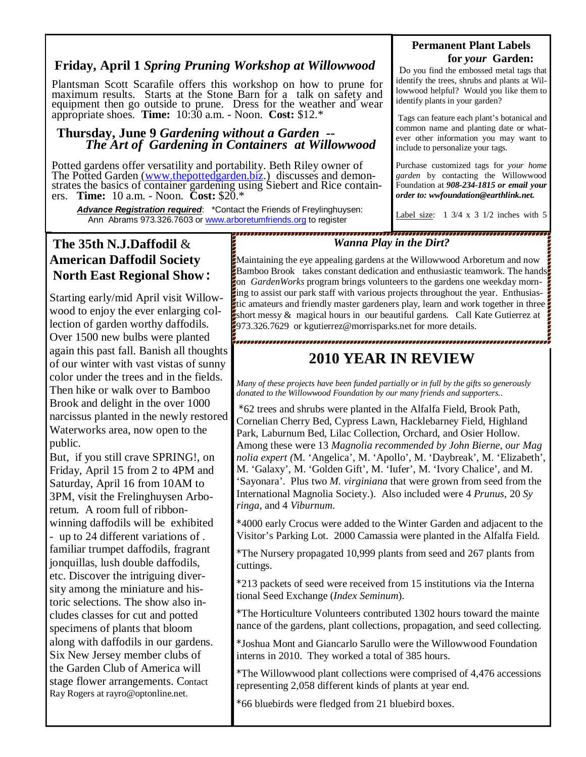## **Friday, April 1** *Spring Pruning Workshop at Willowwood*

Plantsman Scott Scarafile offers this workshop on how to prune for maximum results. Starts at the Stone Barn for a talk on safety and equipment then go outside to prune. Dress for the weather and wear appropriate shoes. **Time:** 10:30 a.m. - Noon. **Cost:** \$12.\*

#### **Thursday, June 9** *Gardening without a Garden -- The Art of Gardening in Containers at Willowwood*

Potted gardens offer versatility and portability. Beth Riley owner of The Potted Garden (www.thepottedgarden.biz.) discusses and demonstrates the basics of container gardening using Siebert and Rice containers. **Time:** 10 a.m. - Noon. **Cost:** \$20.\*

 *Advance Registration required*: \*Contact the Friends of Freylinghuysen: Ann Abrams 973.326.7603 or www.arboretumfriends.org to register

,,,,,,,,,,,,,,,,

## **The 35th N.J.Daffodil** & **American Daffodil Society North East Regional Show:**

Starting early/mid April visit Willowwood to enjoy the ever enlarging collection of garden worthy daffodils. Over 1500 new bulbs were planted again this past fall. Banish all thoughts of our winter with vast vistas of sunny color under the trees and in the fields. Then hike or walk over to Bamboo Brook and delight in the over 1000 narcissus planted in the newly restored Waterworks area, now open to the public.

But, if you still crave SPRING!, on Friday, April 15 from 2 to 4PM and Saturday, April 16 from 10AM to 3PM, visit the Frelinghuysen Arboretum. A room full of ribbonwinning daffodils will be exhibited - up to 24 different variations of . familiar trumpet daffodils, fragrant jonquillas, lush double daffodils, etc. Discover the intriguing diversity among the miniature and historic selections. The show also includes classes for cut and potted specimens of plants that bloom along with daffodils in our gardens. Six New Jersey member clubs of the Garden Club of America will stage flower arrangements. Contact Ray Rogers at rayro@optonline.net.

#### **Permanent Plant Labels for** *your* **Garden:**

Do you find the embossed metal tags that identify the trees, shrubs and plants at Willowwood helpful? Would you like them to identify plants in your garden?

 Tags can feature each plant's botanical and common name and planting date or whatever other information you may want to include to personalize your tags.

Purchase customized tags for *your home garden* by contacting the Willowwood Foundation at *908-234-1815 or email your order to: wwfoundation@earthlink.net.*

Label size:  $1 \frac{3}{4} \times 3 \frac{1}{2}$  inches with 5

#### *Wanna Play in the Dirt?*

**Maintaining the eye appealing gardens at the Willowwood Arboretum and now** Bamboo Brook takes constant dedication and enthusiastic teamwork. The hands on *GardenWorks* program brings volunteers to the gardens one weekday morning to assist our park staff with various projects throughout the year. Enthusiastic amateurs and friendly master gardeners play, learn and work together in three short messy  $\&$  magical hours in our beautiful gardens. Call Kate Gutierrez at 973.326.7629 or kgutierrez@morrisparks.net for more details.

## **2010 YEAR IN REVIEW**

*Many of these projects have been funded partially or in full by the gifts so generously donated to the Willowwood Foundation by our many friends and supporters..*

\*62 trees and shrubs were planted in the Alfalfa Field, Brook Path, Cornelian Cherry Bed, Cypress Lawn, Hacklebarney Field, Highland Park, Laburnum Bed, Lilac Collection, Orchard, and Osier Hollow. Among these were 13 *Magnolia recommended by John Bierne, our Mag nolia expert (*M. 'Angelica', M. 'Apollo', M. 'Daybreak', M. 'Elizabeth', M. 'Galaxy', M. 'Golden Gift', M. 'Iufer', M. 'Ivory Chalice', and M. 'Sayonara'. Plus two *M. virginiana* that were grown from seed from the International Magnolia Society.). Also included were 4 *Prunus*, 20 *Sy ringa*, and 4 *Viburnum*.

\*4000 early Crocus were added to the Winter Garden and adjacent to the Visitor's Parking Lot. 2000 Camassia were planted in the Alfalfa Field.

\*The Nursery propagated 10,999 plants from seed and 267 plants from cuttings.

\*213 packets of seed were received from 15 institutions via the Interna tional Seed Exchange (*Index Seminum*).

\*The Horticulture Volunteers contributed 1302 hours toward the mainte nance of the gardens, plant collections, propagation, and seed collecting.

\*Joshua Mont and Giancarlo Sarullo were the Willowwood Foundation interns in 2010. They worked a total of 385 hours.

\*The Willowwood plant collections were comprised of 4,476 accessions representing 2,058 different kinds of plants at year end.

\*66 bluebirds were fledged from 21 bluebird boxes.